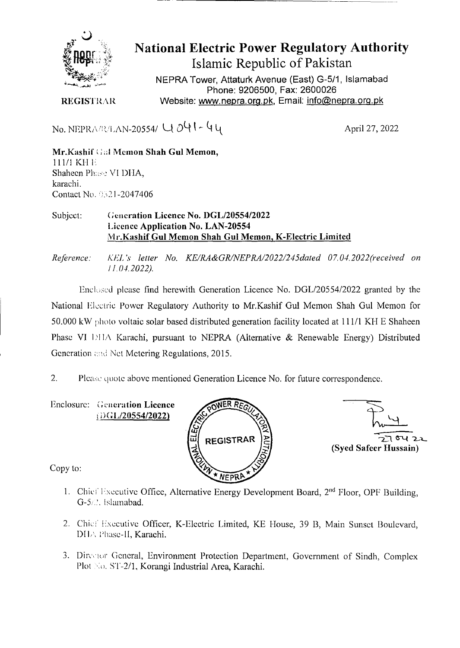

# **National Electric Power Regulatory Authority Islamic Republic of Pakistan**

NEPRA Tower, Attaturk Avenue (East) G-5/1, Islamabad Phone: 9206500, Fax: 2600026 **REGISTRAR Website: www.nepra.org.pk, Email: info@nepra.org.pk** 

No. NEPRABLAN-20554/  $U_0$   $0$   $1 - 4$   $1$ 

**Mr.Kashif'** .l **Memon Shah Gui Memon,**  111/1 KH<sub>E</sub> Shaheen Phase VI DHA, karachi. Contact No. 0321-2047406

### Subject: **Generation Licence No. DGL/20554/2022 Licence Application No. LAN-20554 M r.Kashif Gui Memon Shah Gui Memon, K-Electric Limited**

*Reference: KEJ. 's letter No. KE/RA&GR/NEPRA/2022/245dated 07.04. 2022(received on 11.04.2022).* 

Enclosed please find herewith Generation Licence No. DGL/20554/2022 granted by the National Electric Power Regulatory Authority to Mr.Kashif Gul Memon Shah Gul Memon for 50.000 kW photo voltaic solar based distributed generation facility located at 111/1 KH E Shaheen Phase VI DHA Karachi, pursuant to NEPRA (Alternative & Renewable Energy) Distributed Generation and Net Metering Regulations, 2015.

 $2.$ Please quote above mentioned Generation Licence No. for future correspondence.

Enclosure: Generation Licence i)GL/20554/2022)





Copy to:

- 1. Chief Executive Office, Alternative Energy Development Board,  $2<sup>nd</sup>$  Floor, OPF Building, G-5.'. Islamabad.
- 2. Chief Executive Officer, K-Electric Limited, KE House, 39 B, Main Sunset Boulevard, DHA Phase-II, Karachi.
- 3. Director General, Environment Protection Department, Government of Sindh, Complex Plot No. ST-2/1, Korangi Industrial Area, Karachi.